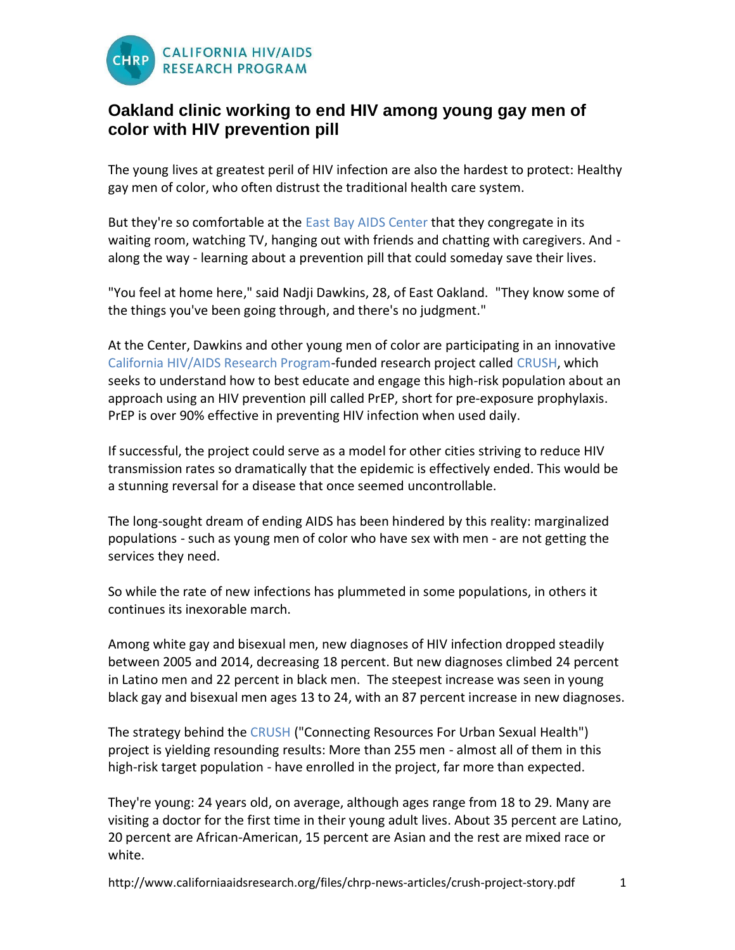

## **Oakland clinic working to end HIV among young gay men of color with HIV prevention pill**

The young lives at greatest peril of HIV infection are also the hardest to protect: Healthy gay men of color, who often distrust the traditional health care system.

But they're so comfortable at the [East Bay AIDS Center](http://www.altabatessummit.org/clinical/aids_scvs.html) that they congregate in its waiting room, watching TV, hanging out with friends and chatting with caregivers. And along the way - learning about a prevention pill that could someday save their lives.

"You feel at home here," said Nadji Dawkins, 28, of East Oakland. "They know some of the things you've been going through, and there's no judgment."

At the Center, Dawkins and other young men of color are participating in an innovative [California HIV/AIDS Research Program-](http://www.californiaaidsresearch.org/)funded research project called [CRUSH,](http://www.crush510.org/) which seeks to understand how to best educate and engage this high-risk population about an approach using an HIV prevention pill called PrEP, short for [pre-exposure prophylaxis.](http://betablog.org/fact-sheet-prep-pep/) PrEP is over 90% effective in preventing HIV infection when used daily.

If successful, the project could serve as a model for other cities striving to reduce HIV transmission rates so dramatically that the epidemic is effectively ended. This would be a stunning reversal for a disease that once seemed uncontrollable.

The long-sought dream of ending AIDS has been hindered by this reality: marginalized populations - such as young men of color who have sex with men - are not getting the services they need.

So while the rate of new infections has plummeted in some populations, in others it continues its inexorable march.

Among white gay and bisexual men, new diagnoses of HIV infection dropped steadily between 2005 and 2014, decreasing 18 percent. But new diagnoses climbed 24 percent in Latino men and 22 percent in black men. The steepest increase was seen in young black gay and bisexual men ages 13 to 24, with an 87 percent increase in new diagnoses.

The strategy behind the [CRUSH](http://www.crush510.org/) ("Connecting Resources For Urban Sexual Health") project is yielding resounding results: More than 255 men - almost all of them in this high-risk target population - have enrolled in the project, far more than expected.

They're young: 24 years old, on average, although ages range from 18 to 29. Many are visiting a doctor for the first time in their young adult lives. About 35 percent are Latino, 20 percent are African-American, 15 percent are Asian and the rest are mixed race or white.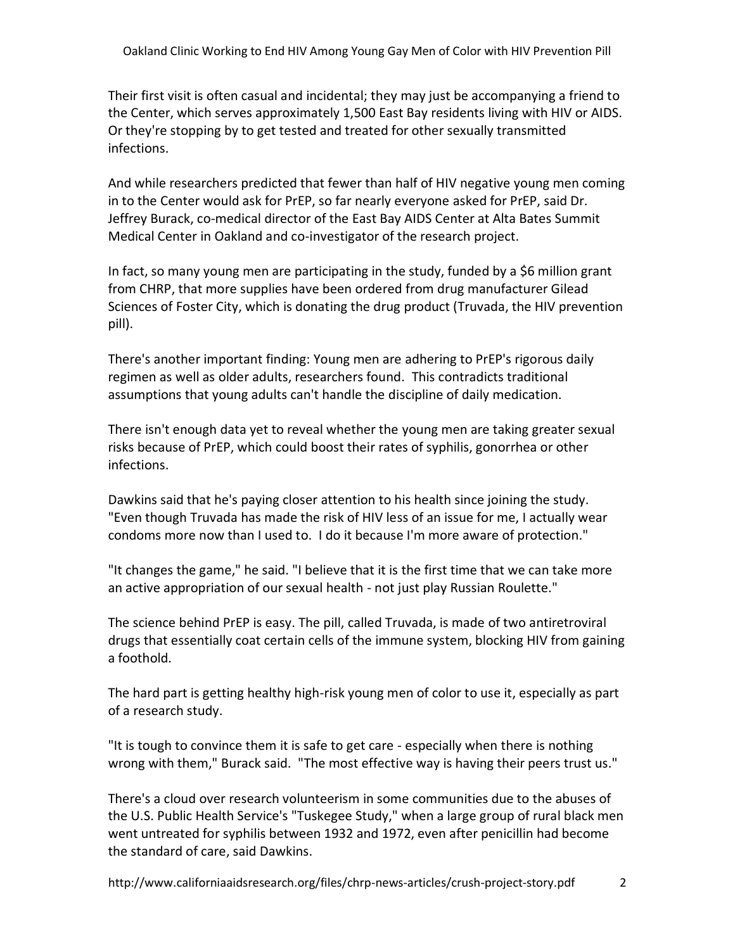Their first visit is often casual and incidental; they may just be accompanying a friend to the Center, which serves approximately 1,500 East Bay residents living with HIV or AIDS. Or they're stopping by to get tested and treated for other sexually transmitted infections.

And while researchers predicted that fewer than half of HIV negative young men coming in to the Center would ask for PrEP, so far nearly everyone asked for PrEP, said Dr. Jeffrey Burack, co-medical director of the East Bay AIDS Center at Alta Bates Summit Medical Center in Oakland and co-investigator of the research project.

In fact, so many young men are participating in the study, funded by a \$6 million grant from CHRP, that more supplies have been ordered from drug manufacturer Gilead Sciences of Foster City, which is donating the drug product (Truvada, the HIV prevention pill).

There's another important finding: Young men are adhering to PrEP's rigorous daily regimen as well as older adults, researchers found. This contradicts traditional assumptions that young adults can't handle the discipline of daily medication.

There isn't enough data yet to reveal whether the young men are taking greater sexual risks because of PrEP, which could boost their rates of syphilis, gonorrhea or other infections.

Dawkins said that he's paying closer attention to his health since joining the study. "Even though Truvada has made the risk of HIV less of an issue for me, I actually wear condoms more now than I used to. I do it because I'm more aware of protection."

"It changes the game," he said. "I believe that it is the first time that we can take more an active appropriation of our sexual health - not just play Russian Roulette."

The science behind PrEP is easy. The pill, called Truvada, is made of two antiretroviral drugs that essentially coat certain cells of the immune system, blocking HIV from gaining a foothold.

The hard part is getting healthy high-risk young men of color to use it, especially as part of a research study.

"It is tough to convince them it is safe to get care - especially when there is nothing wrong with them," Burack said. "The most effective way is having their peers trust us."

There's a cloud over research volunteerism in some communities due to the abuses of the U.S. Public Health Service's "Tuskegee Study," when a large group of rural black men went untreated for [syphilis](http://www.thebody.com/content/art17221.html?ic=4001) between 1932 and 1972, even after penicillin had become the standard of care, said Dawkins.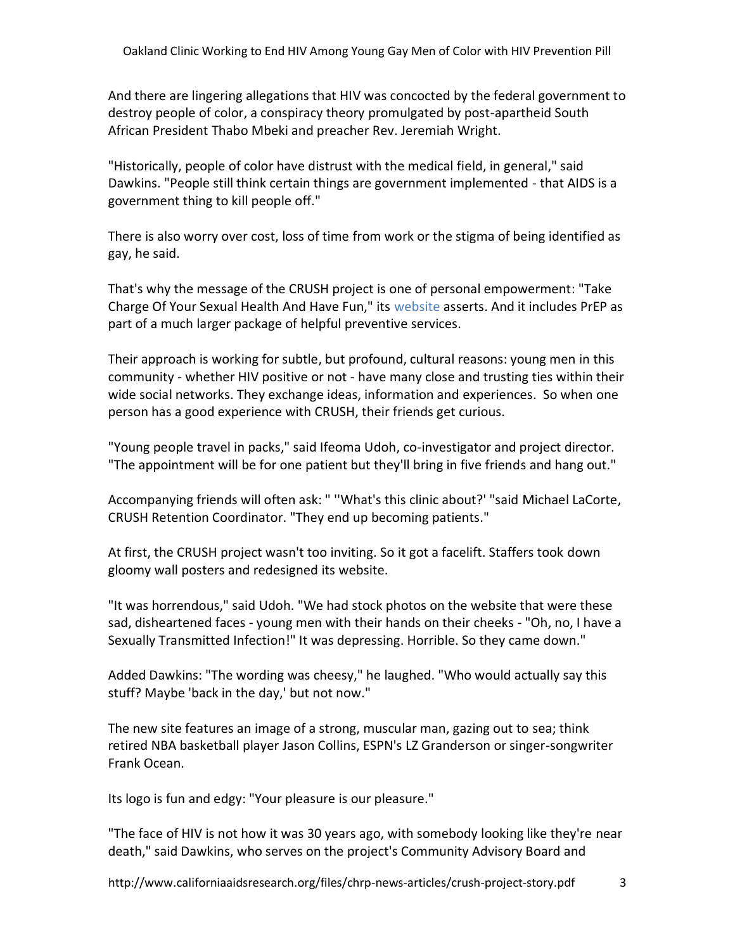And there are lingering allegations that HIV was concocted by the federal government to destroy people of color, a conspiracy theory promulgated by post-apartheid South African President Thabo Mbeki and preacher Rev. Jeremiah Wright.

"Historically, people of color have distrust with the medical field, in general," said Dawkins. "People still think certain things are government implemented - that AIDS is a government thing to kill people off."

There is also worry over cost, loss of time from work or the stigma of being identified as gay, he said.

That's why the message of the CRUSH project is one of personal empowerment: "Take Charge Of Your Sexual Health And Have Fun," its [website](http://www.crush510.org/) asserts. And it includes PrEP as part of a much larger package of helpful preventive services.

Their approach is working for subtle, but profound, cultural reasons: young men in this community - whether HIV positive or not - have many close and trusting ties within their wide social networks. They exchange ideas, information and experiences. So when one person has a good experience with CRUSH, their friends get curious.

"Young people travel in packs," said Ifeoma Udoh, co-investigator and project director. "The appointment will be for one patient but they'll bring in five friends and hang out."

Accompanying friends will often ask: " ''What's this clinic about?' "said Michael LaCorte, CRUSH Retention Coordinator. "They end up becoming patients."

At first, the CRUSH project wasn't too inviting. So it got a facelift. Staffers took down gloomy wall posters and redesigned its website.

"It was horrendous," said Udoh. "We had stock photos on the website that were these sad, disheartened faces - young men with their hands on their cheeks - "Oh, no, I have a Sexually Transmitted Infection!" It was depressing. Horrible. So they came down."

Added Dawkins: "The wording was cheesy," he laughed. "Who would actually say this stuff? Maybe 'back in the day,' but not now."

The new site features an image of a strong, muscular man, gazing out to sea; think retired NBA basketball player Jason Collins, ESPN's LZ Granderson or singer-songwriter Frank Ocean.

Its logo is fun and edgy: "Your pleasure is our pleasure."

"The face of HIV is not how it was 30 years ago, with somebody looking like they're near death," said Dawkins, who serves on the project's Community Advisory Board and

http://www.californiaaidsresearch.org/files/chrp-news-articles/crush-project-story.pdf 3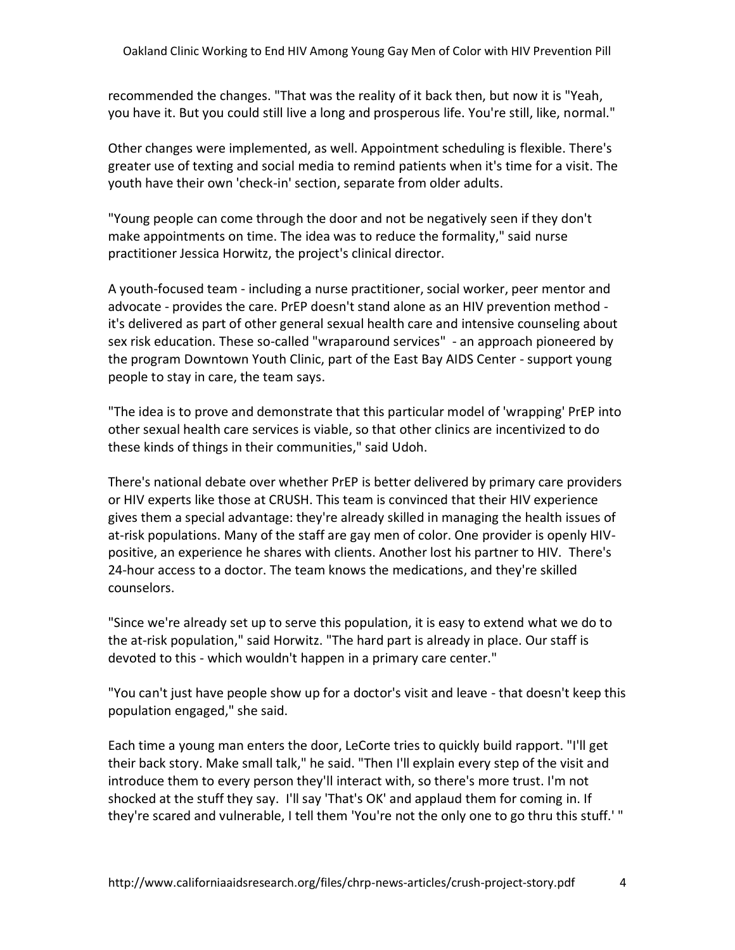recommended the changes. "That was the reality of it back then, but now it is "Yeah, you have it. But you could still live a long and prosperous life. You're still, like, normal."

Other changes were implemented, as well. Appointment scheduling is flexible. There's greater use of texting and social media to remind patients when it's time for a visit. The youth have their own 'check-in' section, separate from older adults.

"Young people can come through the door and not be negatively seen if they don't make appointments on time. The idea was to reduce the formality," said nurse practitioner Jessica Horwitz, the project's clinical director.

A youth-focused team - including a nurse practitioner, social worker, peer mentor and advocate - provides the care. PrEP doesn't stand alone as an HIV prevention method it's delivered as part of other general sexual health care and intensive counseling about sex risk education. These so-called "wraparound services" - an approach pioneered by the program Downtown Youth Clinic, part of the East Bay AIDS Center - support young people to stay in care, the team says.

"The idea is to prove and demonstrate that this particular model of 'wrapping' PrEP into other sexual health care services is viable, so that other clinics are incentivized to do these kinds of things in their communities," said Udoh.

There's national debate over whether PrEP is better delivered by primary care providers or HIV experts like those at CRUSH. This team is convinced that their HIV experience gives them a special advantage: they're already skilled in managing the health issues of at-risk populations. Many of the staff are gay men of color. One provider is openly HIVpositive, an experience he shares with clients. Another lost his partner to HIV. There's 24-hour access to a doctor. The team knows the medications, and they're skilled counselors.

"Since we're already set up to serve this population, it is easy to extend what we do to the at-risk population," said Horwitz. "The hard part is already in place. Our staff is devoted to this - which wouldn't happen in a primary care center."

"You can't just have people show up for a doctor's visit and leave - that doesn't keep this population engaged," she said.

Each time a young man enters the door, LeCorte tries to quickly build rapport. "I'll get their back story. Make small talk," he said. "Then I'll explain every step of the visit and introduce them to every person they'll interact with, so there's more trust. I'm not shocked at the stuff they say. I'll say 'That's OK' and applaud them for coming in. If they're scared and vulnerable, I tell them 'You're not the only one to go thru this stuff.' "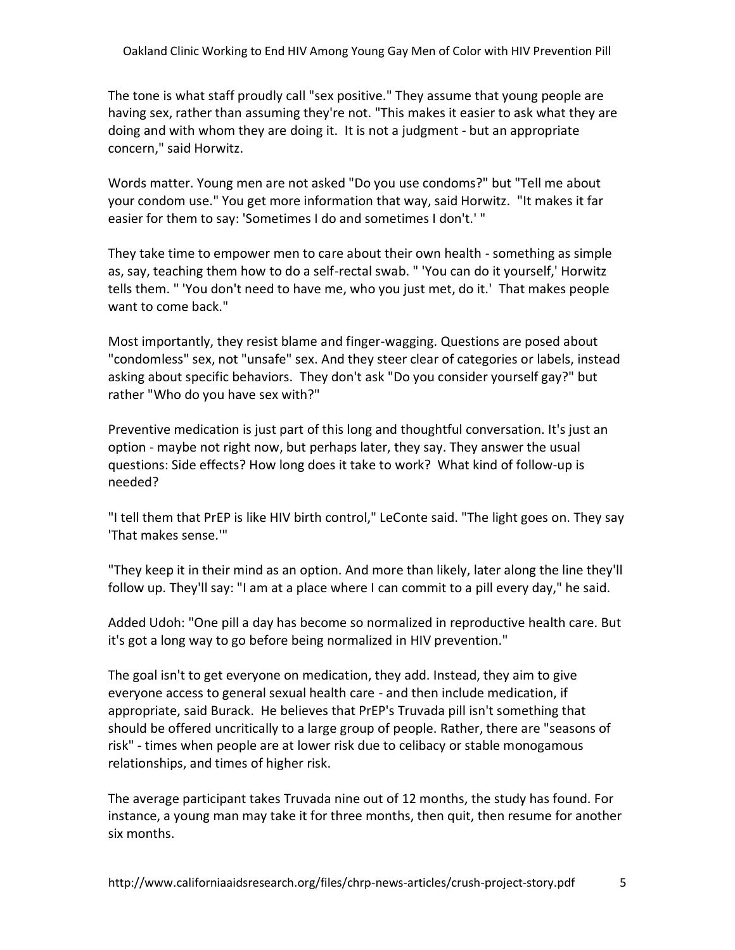The tone is what staff proudly call "sex positive." They assume that young people are having sex, rather than assuming they're not. "This makes it easier to ask what they are doing and with whom they are doing it. It is not a judgment - but an appropriate concern," said Horwitz.

Words matter. Young men are not asked "Do you use condoms?" but "Tell me about your condom use." You get more information that way, said Horwitz. "It makes it far easier for them to say: 'Sometimes I do and sometimes I don't.' "

They take time to empower men to care about their own health - something as simple as, say, teaching them how to do a self-rectal swab. " 'You can do it yourself,' Horwitz tells them. " 'You don't need to have me, who you just met, do it.' That makes people want to come back."

Most importantly, they resist blame and finger-wagging. Questions are posed about "condomless" sex, not "unsafe" sex. And they steer clear of categories or labels, instead asking about specific behaviors. They don't ask "Do you consider yourself gay?" but rather "Who do you have sex with?"

Preventive medication is just part of this long and thoughtful conversation. It's just an option - maybe not right now, but perhaps later, they say. They answer the usual questions: Side effects? How long does it take to work? What kind of follow-up is needed?

"I tell them that PrEP is like HIV birth control," LeConte said. "The light goes on. They say 'That makes sense.'"

"They keep it in their mind as an option. And more than likely, later along the line they'll follow up. They'll say: "I am at a place where I can commit to a pill every day," he said.

Added Udoh: "One pill a day has become so normalized in reproductive health care. But it's got a long way to go before being normalized in HIV prevention."

The goal isn't to get everyone on medication, they add. Instead, they aim to give everyone access to general sexual health care - and then include medication, if appropriate, said Burack. He believes that PrEP's Truvada pill isn't something that should be offered uncritically to a large group of people. Rather, there are "seasons of risk" - times when people are at lower risk due to celibacy or stable monogamous relationships, and times of higher risk.

The average participant takes Truvada nine out of 12 months, the study has found. For instance, a young man may take it for three months, then quit, then resume for another six months.